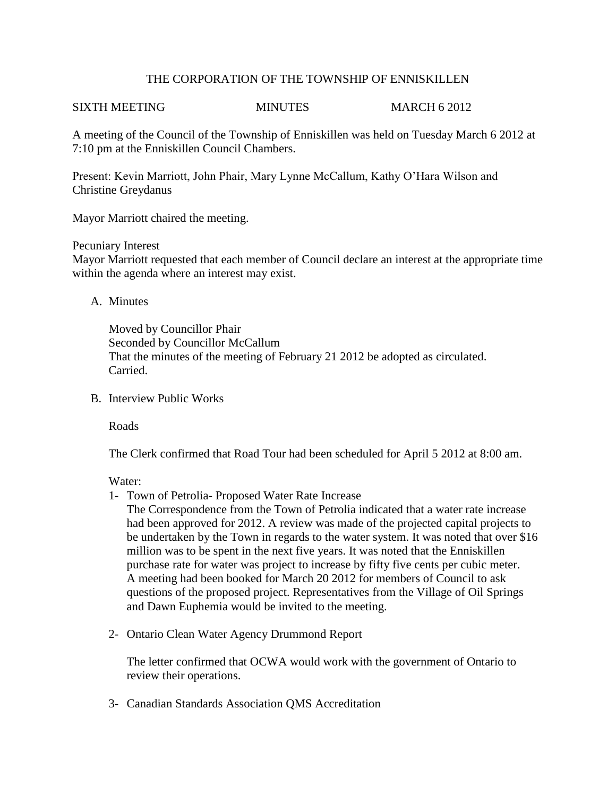# THE CORPORATION OF THE TOWNSHIP OF ENNISKILLEN

#### SIXTH MEETING MINUTES MARCH 6 2012

A meeting of the Council of the Township of Enniskillen was held on Tuesday March 6 2012 at 7:10 pm at the Enniskillen Council Chambers.

Present: Kevin Marriott, John Phair, Mary Lynne McCallum, Kathy O'Hara Wilson and Christine Greydanus

Mayor Marriott chaired the meeting.

## Pecuniary Interest

Mayor Marriott requested that each member of Council declare an interest at the appropriate time within the agenda where an interest may exist.

## A. Minutes

Moved by Councillor Phair Seconded by Councillor McCallum That the minutes of the meeting of February 21 2012 be adopted as circulated. Carried.

B. Interview Public Works

Roads

The Clerk confirmed that Road Tour had been scheduled for April 5 2012 at 8:00 am.

Water:

1- Town of Petrolia- Proposed Water Rate Increase

The Correspondence from the Town of Petrolia indicated that a water rate increase had been approved for 2012. A review was made of the projected capital projects to be undertaken by the Town in regards to the water system. It was noted that over \$16 million was to be spent in the next five years. It was noted that the Enniskillen purchase rate for water was project to increase by fifty five cents per cubic meter. A meeting had been booked for March 20 2012 for members of Council to ask questions of the proposed project. Representatives from the Village of Oil Springs and Dawn Euphemia would be invited to the meeting.

2- Ontario Clean Water Agency Drummond Report

The letter confirmed that OCWA would work with the government of Ontario to review their operations.

3- Canadian Standards Association QMS Accreditation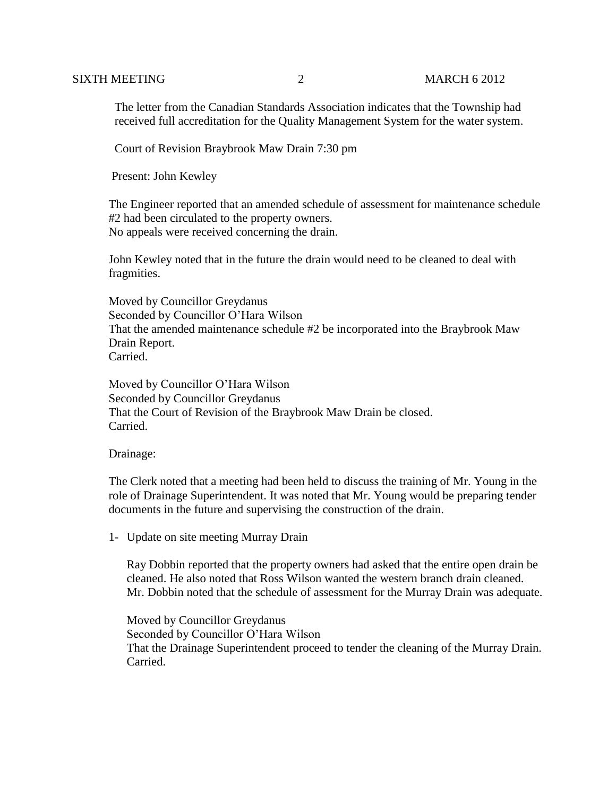The letter from the Canadian Standards Association indicates that the Township had received full accreditation for the Quality Management System for the water system.

Court of Revision Braybrook Maw Drain 7:30 pm

Present: John Kewley

The Engineer reported that an amended schedule of assessment for maintenance schedule #2 had been circulated to the property owners. No appeals were received concerning the drain.

John Kewley noted that in the future the drain would need to be cleaned to deal with fragmities.

Moved by Councillor Greydanus Seconded by Councillor O'Hara Wilson That the amended maintenance schedule #2 be incorporated into the Braybrook Maw Drain Report. Carried.

Moved by Councillor O'Hara Wilson Seconded by Councillor Greydanus That the Court of Revision of the Braybrook Maw Drain be closed. Carried.

## Drainage:

The Clerk noted that a meeting had been held to discuss the training of Mr. Young in the role of Drainage Superintendent. It was noted that Mr. Young would be preparing tender documents in the future and supervising the construction of the drain.

1- Update on site meeting Murray Drain

Ray Dobbin reported that the property owners had asked that the entire open drain be cleaned. He also noted that Ross Wilson wanted the western branch drain cleaned. Mr. Dobbin noted that the schedule of assessment for the Murray Drain was adequate.

Moved by Councillor Greydanus Seconded by Councillor O'Hara Wilson That the Drainage Superintendent proceed to tender the cleaning of the Murray Drain. Carried.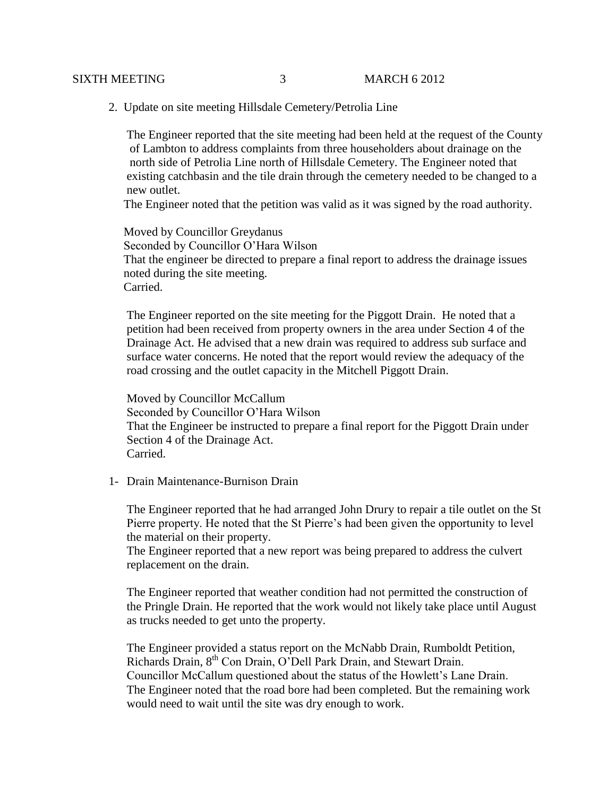2. Update on site meeting Hillsdale Cemetery/Petrolia Line

 The Engineer reported that the site meeting had been held at the request of the County of Lambton to address complaints from three householders about drainage on the north side of Petrolia Line north of Hillsdale Cemetery. The Engineer noted that existing catchbasin and the tile drain through the cemetery needed to be changed to a new outlet.

The Engineer noted that the petition was valid as it was signed by the road authority.

 Moved by Councillor Greydanus Seconded by Councillor O'Hara Wilson That the engineer be directed to prepare a final report to address the drainage issues noted during the site meeting. Carried.

 The Engineer reported on the site meeting for the Piggott Drain. He noted that a petition had been received from property owners in the area under Section 4 of the Drainage Act. He advised that a new drain was required to address sub surface and surface water concerns. He noted that the report would review the adequacy of the road crossing and the outlet capacity in the Mitchell Piggott Drain.

 Moved by Councillor McCallum Seconded by Councillor O'Hara Wilson That the Engineer be instructed to prepare a final report for the Piggott Drain under Section 4 of the Drainage Act. Carried.

1- Drain Maintenance-Burnison Drain

The Engineer reported that he had arranged John Drury to repair a tile outlet on the St Pierre property. He noted that the St Pierre's had been given the opportunity to level the material on their property.

The Engineer reported that a new report was being prepared to address the culvert replacement on the drain.

The Engineer reported that weather condition had not permitted the construction of the Pringle Drain. He reported that the work would not likely take place until August as trucks needed to get unto the property.

The Engineer provided a status report on the McNabb Drain, Rumboldt Petition, Richards Drain, 8<sup>th</sup> Con Drain, O'Dell Park Drain, and Stewart Drain. Councillor McCallum questioned about the status of the Howlett's Lane Drain. The Engineer noted that the road bore had been completed. But the remaining work would need to wait until the site was dry enough to work.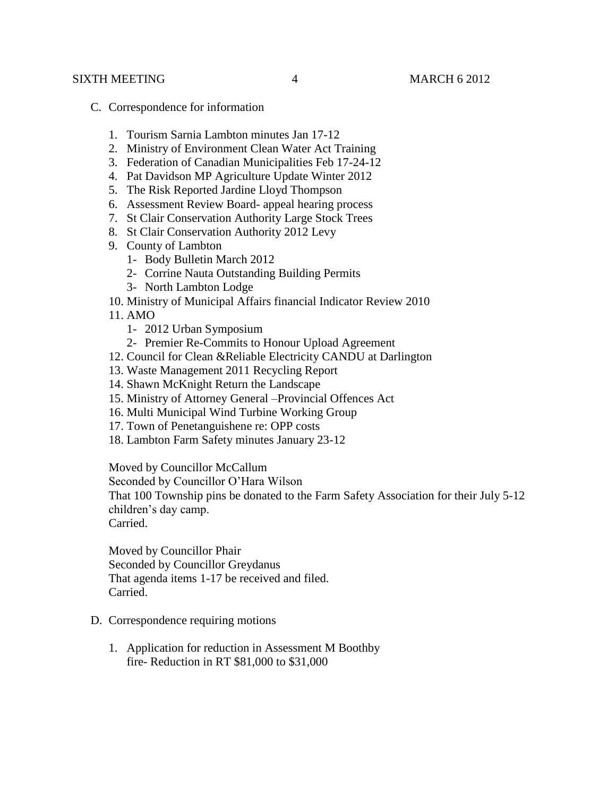- C. Correspondence for information
	- 1. Tourism Sarnia Lambton minutes Jan 17-12
	- 2. Ministry of Environment Clean Water Act Training
	- 3. Federation of Canadian Municipalities Feb 17-24-12
	- 4. Pat Davidson MP Agriculture Update Winter 2012
	- 5. The Risk Reported Jardine Lloyd Thompson
	- 6. Assessment Review Board- appeal hearing process
	- 7. St Clair Conservation Authority Large Stock Trees
	- 8. St Clair Conservation Authority 2012 Levy
	- 9. County of Lambton
		- 1- Body Bulletin March 2012
		- 2- Corrine Nauta Outstanding Building Permits
		- 3- North Lambton Lodge
	- 10. Ministry of Municipal Affairs financial Indicator Review 2010
	- 11. AMO
		- 1- 2012 Urban Symposium
		- 2- Premier Re-Commits to Honour Upload Agreement
	- 12. Council for Clean &Reliable Electricity CANDU at Darlington
	- 13. Waste Management 2011 Recycling Report
	- 14. Shawn McKnight Return the Landscape
	- 15. Ministry of Attorney General –Provincial Offences Act
	- 16. Multi Municipal Wind Turbine Working Group
	- 17. Town of Penetanguishene re: OPP costs
	- 18. Lambton Farm Safety minutes January 23-12

Moved by Councillor McCallum

Seconded by Councillor O'Hara Wilson

That 100 Township pins be donated to the Farm Safety Association for their July 5-12 children's day camp.

Carried.

Moved by Councillor Phair Seconded by Councillor Greydanus That agenda items 1-17 be received and filed. Carried.

- D. Correspondence requiring motions
	- 1. Application for reduction in Assessment M Boothby fire- Reduction in RT \$81,000 to \$31,000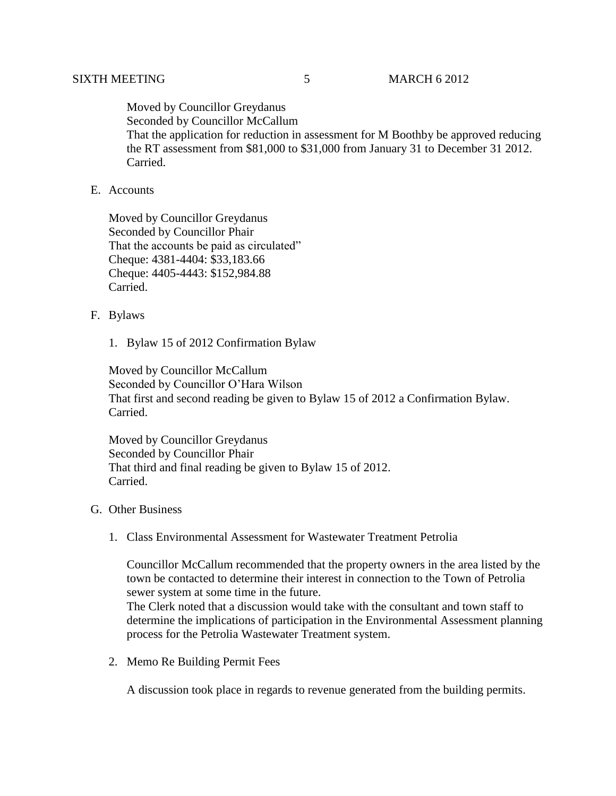Moved by Councillor Greydanus Seconded by Councillor McCallum That the application for reduction in assessment for M Boothby be approved reducing the RT assessment from \$81,000 to \$31,000 from January 31 to December 31 2012. Carried.

## E. Accounts

Moved by Councillor Greydanus Seconded by Councillor Phair That the accounts be paid as circulated" Cheque: 4381-4404: \$33,183.66 Cheque: 4405-4443: \$152,984.88 Carried.

#### F. Bylaws

1. Bylaw 15 of 2012 Confirmation Bylaw

Moved by Councillor McCallum Seconded by Councillor O'Hara Wilson That first and second reading be given to Bylaw 15 of 2012 a Confirmation Bylaw. Carried.

Moved by Councillor Greydanus Seconded by Councillor Phair That third and final reading be given to Bylaw 15 of 2012. Carried.

# G. Other Business

1. Class Environmental Assessment for Wastewater Treatment Petrolia

Councillor McCallum recommended that the property owners in the area listed by the town be contacted to determine their interest in connection to the Town of Petrolia sewer system at some time in the future.

The Clerk noted that a discussion would take with the consultant and town staff to determine the implications of participation in the Environmental Assessment planning process for the Petrolia Wastewater Treatment system.

2. Memo Re Building Permit Fees

A discussion took place in regards to revenue generated from the building permits.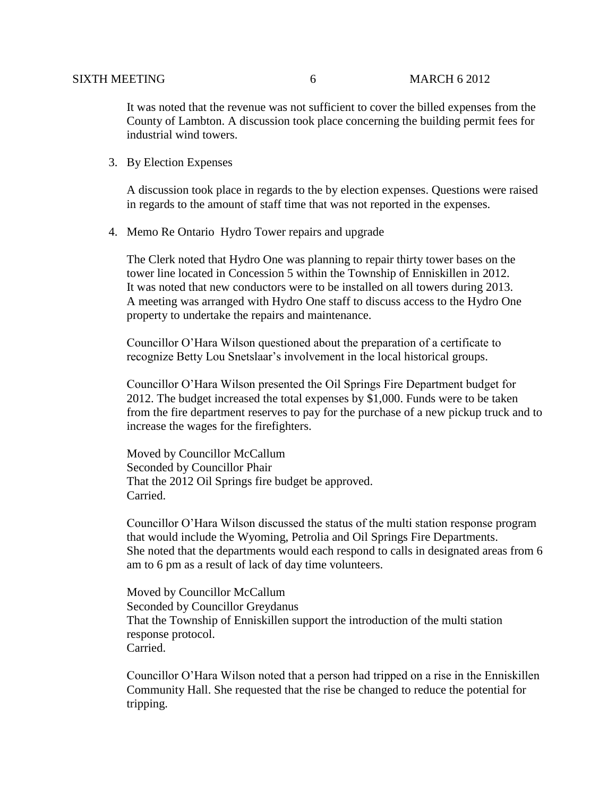It was noted that the revenue was not sufficient to cover the billed expenses from the County of Lambton. A discussion took place concerning the building permit fees for industrial wind towers.

3. By Election Expenses

A discussion took place in regards to the by election expenses. Questions were raised in regards to the amount of staff time that was not reported in the expenses.

4. Memo Re Ontario Hydro Tower repairs and upgrade

The Clerk noted that Hydro One was planning to repair thirty tower bases on the tower line located in Concession 5 within the Township of Enniskillen in 2012. It was noted that new conductors were to be installed on all towers during 2013. A meeting was arranged with Hydro One staff to discuss access to the Hydro One property to undertake the repairs and maintenance.

Councillor O'Hara Wilson questioned about the preparation of a certificate to recognize Betty Lou Snetslaar's involvement in the local historical groups.

Councillor O'Hara Wilson presented the Oil Springs Fire Department budget for 2012. The budget increased the total expenses by \$1,000. Funds were to be taken from the fire department reserves to pay for the purchase of a new pickup truck and to increase the wages for the firefighters.

Moved by Councillor McCallum Seconded by Councillor Phair That the 2012 Oil Springs fire budget be approved. Carried.

Councillor O'Hara Wilson discussed the status of the multi station response program that would include the Wyoming, Petrolia and Oil Springs Fire Departments. She noted that the departments would each respond to calls in designated areas from 6 am to 6 pm as a result of lack of day time volunteers.

Moved by Councillor McCallum Seconded by Councillor Greydanus That the Township of Enniskillen support the introduction of the multi station response protocol. Carried.

Councillor O'Hara Wilson noted that a person had tripped on a rise in the Enniskillen Community Hall. She requested that the rise be changed to reduce the potential for tripping.